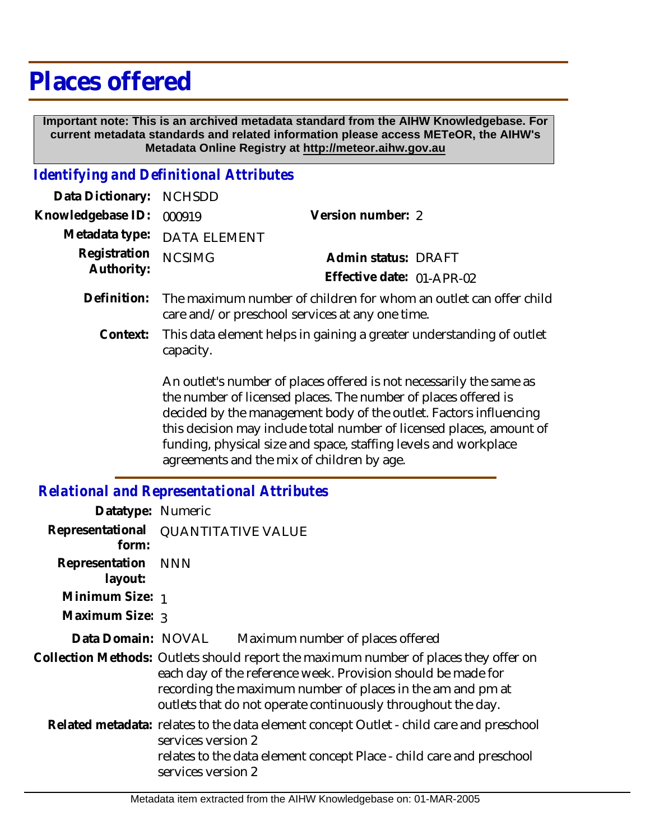## **Places offered**

 **Important note: This is an archived metadata standard from the AIHW Knowledgebase. For current metadata standards and related information please access METeOR, the AIHW's Metadata Online Registry at http://meteor.aihw.gov.au**

## *Identifying and Definitional Attributes*

| Data Dictionary: NCHSDD  |                             |                              |  |
|--------------------------|-----------------------------|------------------------------|--|
| Knowledgebase ID: 000919 |                             | Version number: 2            |  |
|                          | Metadata type: DATA ELEMENT |                              |  |
| Registration NCSIMG      |                             | Admin status: DRAFT          |  |
| Authority:               |                             | Effective date: $01$ -APR-02 |  |
|                          |                             |                              |  |

- Definition: The maximum number of children for whom an outlet can offer child care and/or preschool services at any one time.
	- This data element helps in gaining a greater understanding of outlet capacity. **Context:**

An outlet's number of places offered is not necessarily the same as the number of licensed places. The number of places offered is decided by the management body of the outlet. Factors influencing this decision may include total number of licensed places, amount of funding, physical size and space, staffing levels and workplace agreements and the mix of children by age.

## *Relational and Representational Attributes*

| Datatype: Numeric                            |                                                                                                                                                                                                                                                                                    |                                                                                                                                                                 |
|----------------------------------------------|------------------------------------------------------------------------------------------------------------------------------------------------------------------------------------------------------------------------------------------------------------------------------------|-----------------------------------------------------------------------------------------------------------------------------------------------------------------|
| Representational QUANTITATIVE VALUE<br>form: |                                                                                                                                                                                                                                                                                    |                                                                                                                                                                 |
| Representation<br>layout:                    | <b>NNN</b>                                                                                                                                                                                                                                                                         |                                                                                                                                                                 |
| Minimum Size: 1                              |                                                                                                                                                                                                                                                                                    |                                                                                                                                                                 |
| Maximum Size: 3                              |                                                                                                                                                                                                                                                                                    |                                                                                                                                                                 |
| Data Domain: NOVAL                           |                                                                                                                                                                                                                                                                                    | Maximum number of places offered                                                                                                                                |
|                                              | Collection Methods: Outlets should report the maximum number of places they offer on<br>each day of the reference week. Provision should be made for<br>recording the maximum number of places in the am and pm at<br>outlets that do not operate continuously throughout the day. |                                                                                                                                                                 |
|                                              | services version 2<br>services version 2                                                                                                                                                                                                                                           | Related metadata: relates to the data element concept Outlet - child care and preschool<br>relates to the data element concept Place - child care and preschool |